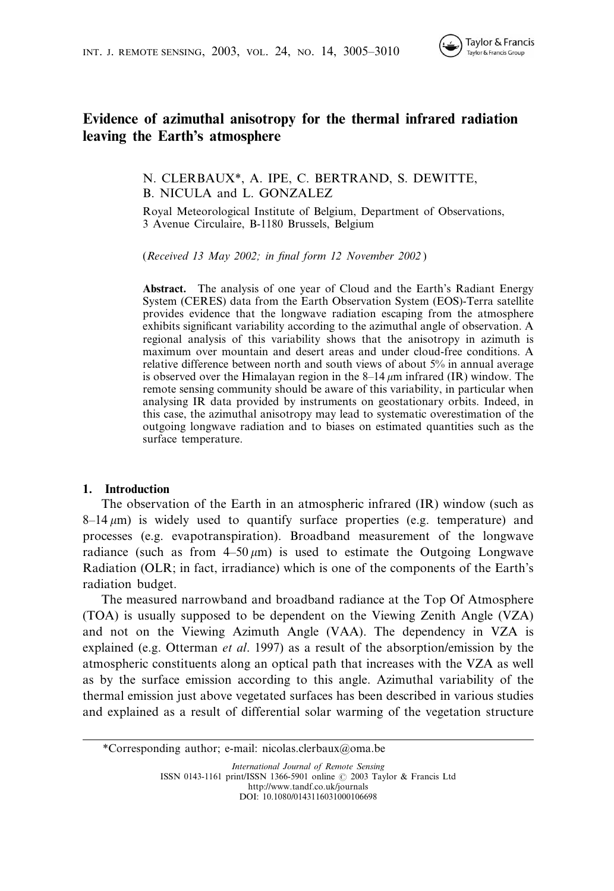

# Evidence of azimuthal anisotropy for the thermal infrared radiation leaving the Earth's atmosphere

N. CLERBAUX\*, A. IPE, C. BERTRAND, S. DEWITTE, B. NICULA and L. GONZALEZ

Royal Meteorological Institute of Belgium, Department of Observations, 3 Avenue Circulaire, B-1180 Brussels, Belgium

(Received 13 May 2002; in final form 12 November 2002 )

Abstract. The analysis of one year of Cloud and the Earth's Radiant Energy System (CERES) data from the Earth Observation System (EOS)-Terra satellite provides evidence that the longwave radiation escaping from the atmosphere exhibits significant variability according to the azimuthal angle of observation. A regional analysis of this variability shows that the anisotropy in azimuth is maximum over mountain and desert areas and under cloud-free conditions. A relative difference between north and south views of about 5% in annual average is observed over the Himalayan region in the  $8-14 \mu m$  infrared (IR) window. The remote sensing community should be aware of this variability, in particular when analysing IR data provided by instruments on geostationary orbits. Indeed, in this case, the azimuthal anisotropy may lead to systematic overestimation of the outgoing longwave radiation and to biases on estimated quantities such as the surface temperature.

## 1. Introduction

The observation of the Earth in an atmospheric infrared (IR) window (such as  $8-14 \mu m$ ) is widely used to quantify surface properties (e.g. temperature) and processes (e.g. evapotranspiration). Broadband measurement of the longwave radiance (such as from  $4-50 \mu m$ ) is used to estimate the Outgoing Longwave Radiation (OLR; in fact, irradiance) which is one of the components of the Earth's radiation budget.

The measured narrowband and broadband radiance at the Top Of Atmosphere (TOA) is usually supposed to be dependent on the Viewing Zenith Angle (VZA) and not on the Viewing Azimuth Angle (VAA). The dependency in VZA is explained (e.g. Otterman *et al.* 1997) as a result of the absorption/emission by the atmospheric constituents along an optical path that increases with the VZA as well as by the surface emission according to this angle. Azimuthal variability of the thermal emission just above vegetated surfaces has been described in various studies and explained as a result of differential solar warming of the vegetation structure

\*Corresponding author; e-mail: nicolas.clerbaux@oma.be

International Journal of Remote Sensing ISSN 0143-1161 print/ISSN 1366-5901 online  $\odot$  2003 Taylor & Francis Ltd http://www.tandf.co.uk/journals DOI: 10.1080/0143116031000106698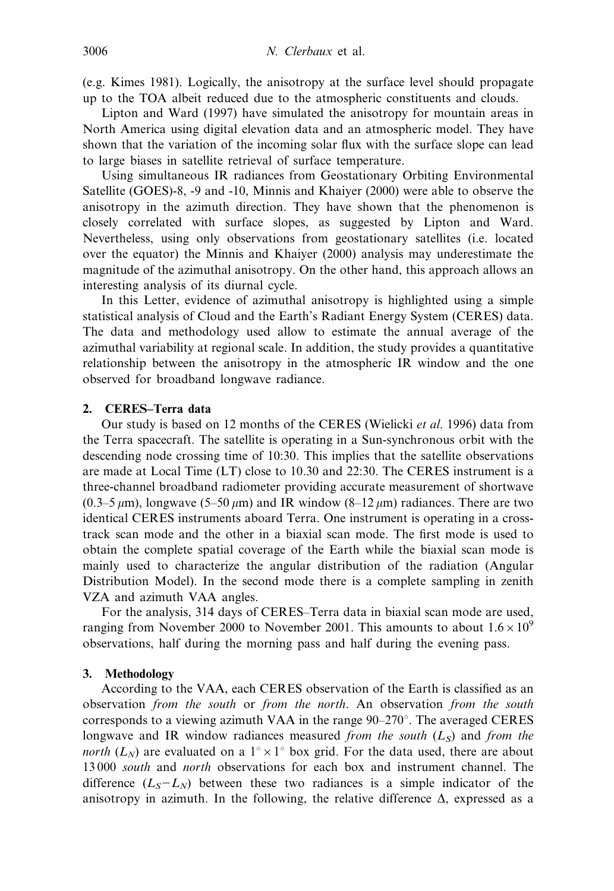(e.g. Kimes 1981). Logically, the anisotropy at the surface level should propagate up to the TOA albeit reduced due to the atmospheric constituents and clouds.

Lipton and Ward (1997) have simulated the anisotropy for mountain areas in North America using digital elevation data and an atmospheric model. They have shown that the variation of the incoming solar flux with the surface slope can lead to large biases in satellite retrieval of surface temperature.

Using simultaneous IR radiances from Geostationary Orbiting Environmental Satellite (GOES)-8, -9 and -10, Minnis and Khaiyer (2000) were able to observe the anisotropy in the azimuth direction. They have shown that the phenomenon is closely correlated with surface slopes, as suggested by Lipton and Ward. Nevertheless, using only observations from geostationary satellites (i.e. located over the equator) the Minnis and Khaiyer (2000) analysis may underestimate the magnitude of the azimuthal anisotropy. On the other hand, this approach allows an interesting analysis of its diurnal cycle.

In this Letter, evidence of azimuthal anisotropy is highlighted using a simple statistical analysis of Cloud and the Earth's Radiant Energy System (CERES) data. The data and methodology used allow to estimate the annual average of the azimuthal variability at regional scale. In addition, the study provides a quantitative relationship between the anisotropy in the atmospheric IR window and the one observed for broadband longwave radiance.

# 2. CERES–Terra data

Our study is based on 12 months of the CERES (Wielicki et al. 1996) data from the Terra spacecraft. The satellite is operating in a Sun-synchronous orbit with the descending node crossing time of 10:30. This implies that the satellite observations are made at Local Time (LT) close to 10.30 and 22:30. The CERES instrument is a three-channel broadband radiometer providing accurate measurement of shortwave  $(0.3-5 \,\mu\text{m})$ , longwave  $(5-50 \,\mu\text{m})$  and IR window  $(8-12 \,\mu\text{m})$  radiances. There are two identical CERES instruments aboard Terra. One instrument is operating in a crosstrack scan mode and the other in a biaxial scan mode. The first mode is used to obtain the complete spatial coverage of the Earth while the biaxial scan mode is mainly used to characterize the angular distribution of the radiation (Angular Distribution Model). In the second mode there is a complete sampling in zenith VZA and azimuth VAA angles.

For the analysis, 314 days of CERES–Terra data in biaxial scan mode are used, ranging from November 2000 to November 2001. This amounts to about  $1.6 \times 10^9$ observations, half during the morning pass and half during the evening pass.

## 3. Methodology

According to the VAA, each CERES observation of the Earth is classified as an observation from the south or from the north. An observation from the south corresponds to a viewing azimuth VAA in the range  $90-270^{\circ}$ . The averaged CERES longwave and IR window radiances measured from the south  $(L<sub>S</sub>)$  and from the *north* ( $L_N$ ) are evaluated on a 1<sup>°</sup> × 1<sup>°</sup> box grid. For the data used, there are about 13 000 south and north observations for each box and instrument channel. The difference  $(L<sub>S</sub>-L<sub>N</sub>)$  between these two radiances is a simple indicator of the anisotropy in azimuth. In the following, the relative difference  $\Delta$ , expressed as a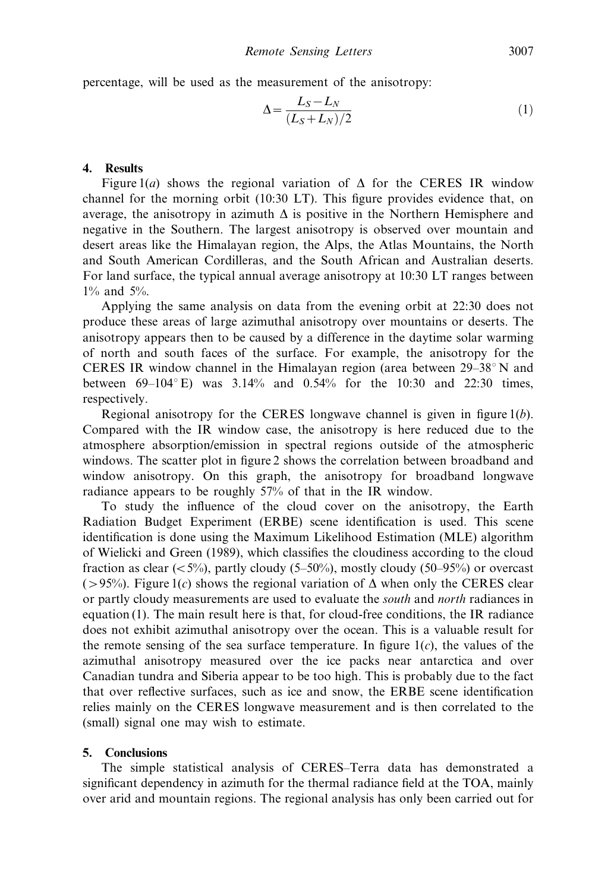percentage, will be used as the measurement of the anisotropy:

$$
\Delta = \frac{L_S - L_N}{(L_S + L_N)/2} \tag{1}
$$

# 4. Results

Figure 1(a) shows the regional variation of  $\Delta$  for the CERES IR window channel for the morning orbit (10:30 LT). This figure provides evidence that, on average, the anisotropy in azimuth  $\Delta$  is positive in the Northern Hemisphere and negative in the Southern. The largest anisotropy is observed over mountain and desert areas like the Himalayan region, the Alps, the Atlas Mountains, the North and South American Cordilleras, and the South African and Australian deserts. For land surface, the typical annual average anisotropy at 10:30 LT ranges between 1% and 5%.

Applying the same analysis on data from the evening orbit at 22:30 does not produce these areas of large azimuthal anisotropy over mountains or deserts. The anisotropy appears then to be caused by a difference in the daytime solar warming of north and south faces of the surface. For example, the anisotropy for the CERES IR window channel in the Himalayan region (area between  $29-38^\circ$  N and between  $69-104^{\circ}$  E) was  $3.14\%$  and  $0.54\%$  for the 10:30 and 22:30 times, respectively.

Regional anisotropy for the CERES longwave channel is given in figure  $1(b)$ . Compared with the IR window case, the anisotropy is here reduced due to the atmosphere absorption/emission in spectral regions outside of the atmospheric windows. The scatter plot in figure 2 shows the correlation between broadband and window anisotropy. On this graph, the anisotropy for broadband longwave radiance appears to be roughly 57% of that in the IR window.

To study the influence of the cloud cover on the anisotropy, the Earth Radiation Budget Experiment (ERBE) scene identification is used. This scene identification is done using the Maximum Likelihood Estimation (MLE) algorithm of Wielicki and Green (1989), which classifies the cloudiness according to the cloud fraction as clear ( $\langle 5\%$ ), partly cloudy (5–50%), mostly cloudy (50–95%) or overcast ( $>95\%$ ). Figure 1(c) shows the regional variation of  $\Delta$  when only the CERES clear or partly cloudy measurements are used to evaluate the south and north radiances in equation (1). The main result here is that, for cloud-free conditions, the IR radiance does not exhibit azimuthal anisotropy over the ocean. This is a valuable result for the remote sensing of the sea surface temperature. In figure  $1(c)$ , the values of the azimuthal anisotropy measured over the ice packs near antarctica and over Canadian tundra and Siberia appear to be too high. This is probably due to the fact that over reflective surfaces, such as ice and snow, the ERBE scene identification relies mainly on the CERES longwave measurement and is then correlated to the (small) signal one may wish to estimate.

## 5. Conclusions

The simple statistical analysis of CERES–Terra data has demonstrated a significant dependency in azimuth for the thermal radiance field at the TOA, mainly over arid and mountain regions. The regional analysis has only been carried out for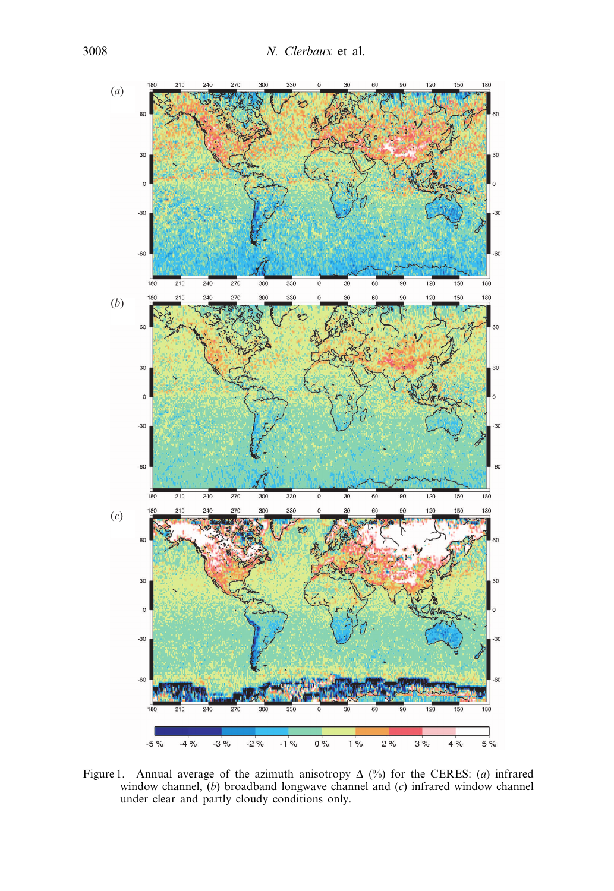

Figure 1. Annual average of the azimuth anisotropy  $\Delta$  (%) for the CERES: (*a*) infrared window channel,  $(b)$  broadband longwave channel and  $(c)$  infrared window channel under clear and partly cloudy conditions only.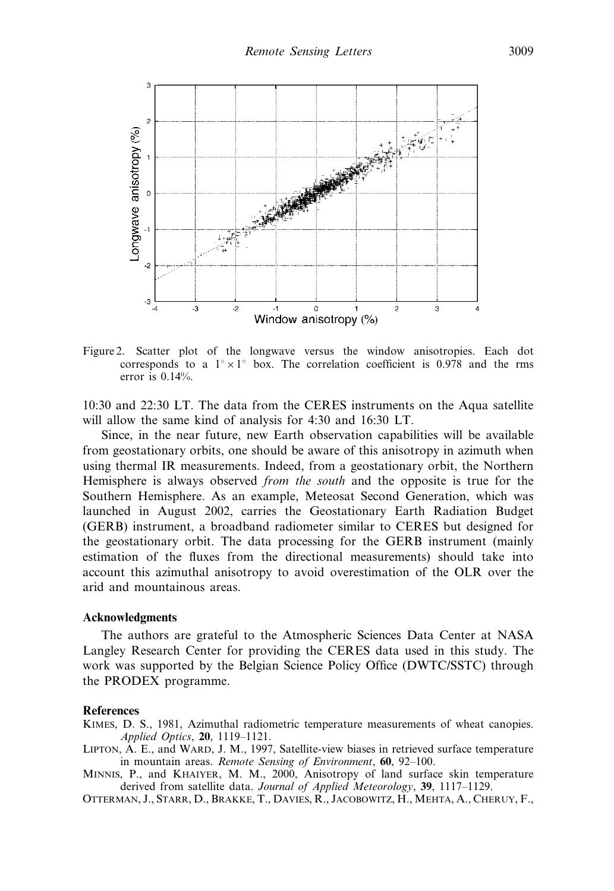

Figure 2. Scatter plot of the longwave versus the window anisotropies. Each dot corresponds to a  $1^{\circ} \times 1^{\circ}$  box. The correlation coefficient is 0.978 and the rms error is 0.14%.

10:30 and 22:30 LT. The data from the CERES instruments on the Aqua satellite will allow the same kind of analysis for 4:30 and 16:30 LT.

Since, in the near future, new Earth observation capabilities will be available from geostationary orbits, one should be aware of this anisotropy in azimuth when using thermal IR measurements. Indeed, from a geostationary orbit, the Northern Hemisphere is always observed from the south and the opposite is true for the Southern Hemisphere. As an example, Meteosat Second Generation, which was launched in August 2002, carries the Geostationary Earth Radiation Budget (GERB) instrument, a broadband radiometer similar to CERES but designed for the geostationary orbit. The data processing for the GERB instrument (mainly estimation of the fluxes from the directional measurements) should take into account this azimuthal anisotropy to avoid overestimation of the OLR over the arid and mountainous areas.

#### Acknowledgments

The authors are grateful to the Atmospheric Sciences Data Center at NASA Langley Research Center for providing the CERES data used in this study. The work was supported by the Belgian Science Policy Office (DWTC/SSTC) through the PRODEX programme.

#### **References**

KIMES, D. S., 1981, Azimuthal radiometric temperature measurements of wheat canopies. Applied Optics, 20, 1119–1121.

LIPTON, A. E., and WARD, J. M., 1997, Satellite-view biases in retrieved surface temperature in mountain areas. Remote Sensing of Environment, 60, 92–100.

MINNIS, P., and KHAIYER, M. M., 2000, Anisotropy of land surface skin temperature derived from satellite data. Journal of Applied Meteorology, 39, 1117-1129.

OTTERMAN, J., STARR, D., BRAKKE, T., DAVIES, R., JACOBOWITZ, H., MEHTA, A., CHERUY, F.,